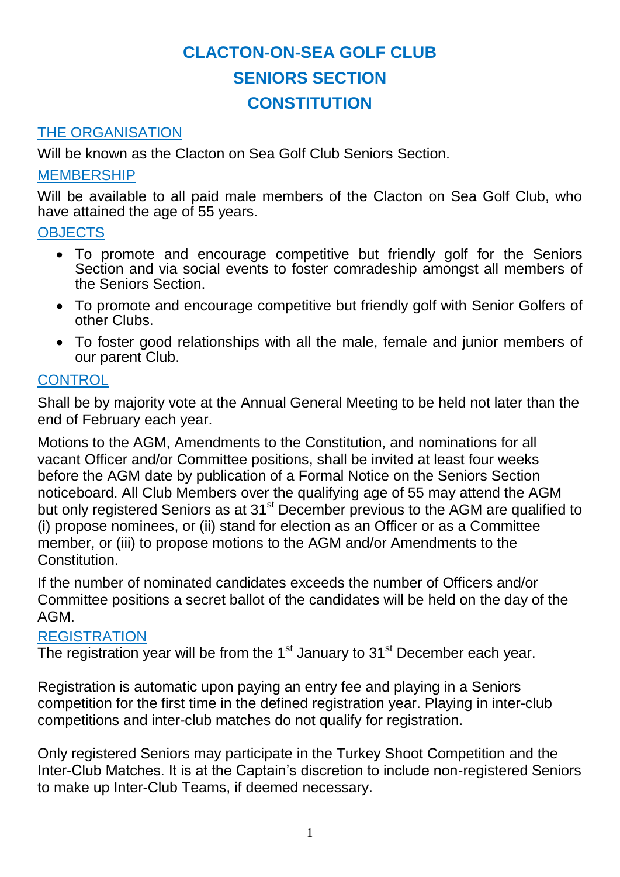### THE ORGANISATION

Will be known as the Clacton on Sea Golf Club Seniors Section.

### MEMBERSHIP

Will be available to all paid male members of the Clacton on Sea Golf Club, who have attained the age of 55 years.

#### **OBJECTS**

- To promote and encourage competitive but friendly golf for the Seniors Section and via social events to foster comradeship amongst all members of the Seniors Section.
- To promote and encourage competitive but friendly golf with Senior Golfers of other Clubs.
- To foster good relationships with all the male, female and junior members of our parent Club.

### **CONTROL**

Shall be by majority vote at the Annual General Meeting to be held not later than the end of February each year.

Motions to the AGM, Amendments to the Constitution, and nominations for all vacant Officer and/or Committee positions, shall be invited at least four weeks before the AGM date by publication of a Formal Notice on the Seniors Section noticeboard. All Club Members over the qualifying age of 55 may attend the AGM but only registered Seniors as at 31<sup>st</sup> December previous to the AGM are qualified to (i) propose nominees, or (ii) stand for election as an Officer or as a Committee member, or (iii) to propose motions to the AGM and/or Amendments to the Constitution.

If the number of nominated candidates exceeds the number of Officers and/or Committee positions a secret ballot of the candidates will be held on the day of the AGM.

#### **REGISTRATION**

The registration year will be from the  $1<sup>st</sup>$  January to  $31<sup>st</sup>$  December each year.

Registration is automatic upon paying an entry fee and playing in a Seniors competition for the first time in the defined registration year. Playing in inter-club competitions and inter-club matches do not qualify for registration.

Only registered Seniors may participate in the Turkey Shoot Competition and the Inter-Club Matches. It is at the Captain's discretion to include non-registered Seniors to make up Inter-Club Teams, if deemed necessary.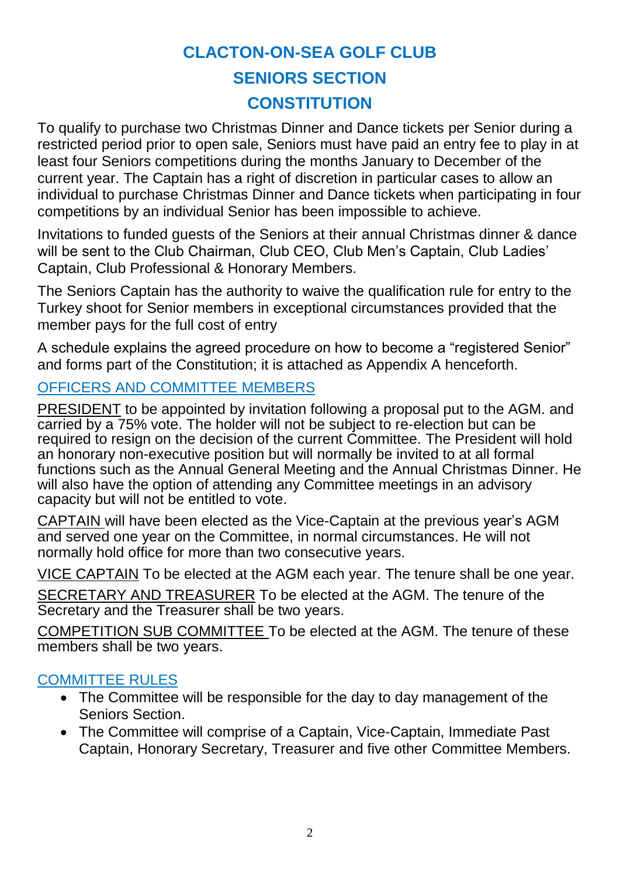To qualify to purchase two Christmas Dinner and Dance tickets per Senior during a restricted period prior to open sale, Seniors must have paid an entry fee to play in at least four Seniors competitions during the months January to December of the current year. The Captain has a right of discretion in particular cases to allow an individual to purchase Christmas Dinner and Dance tickets when participating in four competitions by an individual Senior has been impossible to achieve.

Invitations to funded guests of the Seniors at their annual Christmas dinner & dance will be sent to the Club Chairman, Club CEO, Club Men's Captain, Club Ladies' Captain, Club Professional & Honorary Members.

The Seniors Captain has the authority to waive the qualification rule for entry to the Turkey shoot for Senior members in exceptional circumstances provided that the member pays for the full cost of entry

A schedule explains the agreed procedure on how to become a "registered Senior" and forms part of the Constitution; it is attached as Appendix A henceforth.

### OFFICERS AND COMMITTEE MEMBERS

PRESIDENT to be appointed by invitation following a proposal put to the AGM. and carried by a 75% vote. The holder will not be subject to re-election but can be required to resign on the decision of the current Committee. The President will hold an honorary non-executive position but will normally be invited to at all formal functions such as the Annual General Meeting and the Annual Christmas Dinner. He will also have the option of attending any Committee meetings in an advisory capacity but will not be entitled to vote.

CAPTAIN will have been elected as the Vice-Captain at the previous year's AGM and served one year on the Committee, in normal circumstances. He will not normally hold office for more than two consecutive years.

VICE CAPTAIN To be elected at the AGM each year. The tenure shall be one year.

SECRETARY AND TREASURER To be elected at the AGM. The tenure of the Secretary and the Treasurer shall be two years.

COMPETITION SUB COMMITTEE To be elected at the AGM. The tenure of these members shall be two years.

### COMMITTEE RULES

- The Committee will be responsible for the day to day management of the Seniors Section.
- The Committee will comprise of a Captain, Vice-Captain, Immediate Past Captain, Honorary Secretary, Treasurer and five other Committee Members.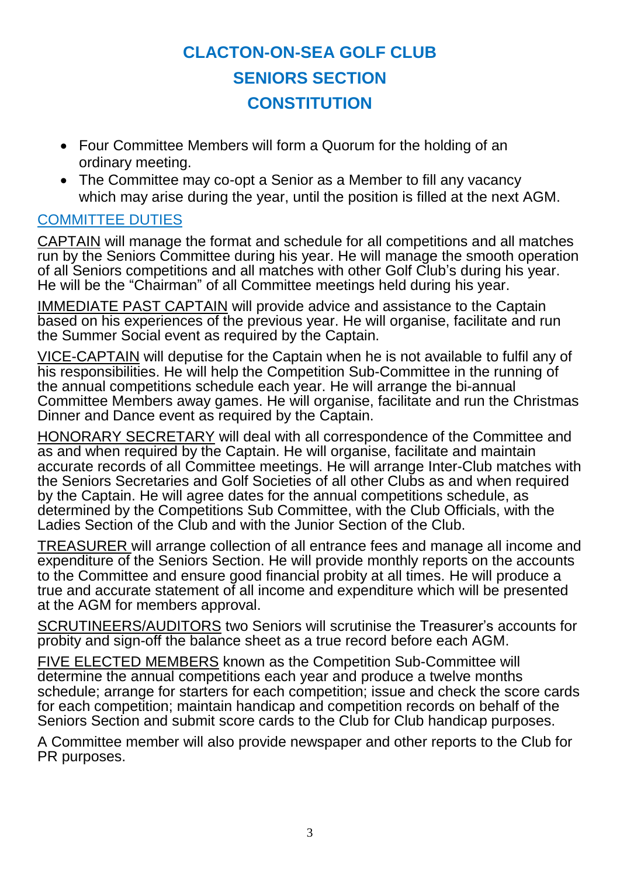- Four Committee Members will form a Quorum for the holding of an ordinary meeting.
- The Committee may co-opt a Senior as a Member to fill any vacancy which may arise during the year, until the position is filled at the next AGM.

### COMMITTEE DUTIES

CAPTAIN will manage the format and schedule for all competitions and all matches run by the Seniors Committee during his year. He will manage the smooth operation of all Seniors competitions and all matches with other Golf Club's during his year. He will be the "Chairman" of all Committee meetings held during his year.

IMMEDIATE PAST CAPTAIN will provide advice and assistance to the Captain based on his experiences of the previous year. He will organise, facilitate and run the Summer Social event as required by the Captain.

VICE-CAPTAIN will deputise for the Captain when he is not available to fulfil any of his responsibilities. He will help the Competition Sub-Committee in the running of the annual competitions schedule each year. He will arrange the bi-annual Committee Members away games. He will organise, facilitate and run the Christmas Dinner and Dance event as required by the Captain.

HONORARY SECRETARY will deal with all correspondence of the Committee and as and when required by the Captain. He will organise, facilitate and maintain accurate records of all Committee meetings. He will arrange Inter-Club matches with the Seniors Secretaries and Golf Societies of all other Clubs as and when required by the Captain. He will agree dates for the annual competitions schedule, as determined by the Competitions Sub Committee, with the Club Officials, with the Ladies Section of the Club and with the Junior Section of the Club.

TREASURER will arrange collection of all entrance fees and manage all income and expenditure of the Seniors Section. He will provide monthly reports on the accounts to the Committee and ensure good financial probity at all times. He will produce a true and accurate statement of all income and expenditure which will be presented at the AGM for members approval.

SCRUTINEERS/AUDITORS two Seniors will scrutinise the Treasurer's accounts for probity and sign-off the balance sheet as a true record before each AGM.

FIVE ELECTED MEMBERS known as the Competition Sub-Committee will determine the annual competitions each year and produce a twelve months schedule; arrange for starters for each competition; issue and check the score cards for each competition; maintain handicap and competition records on behalf of the Seniors Section and submit score cards to the Club for Club handicap purposes.

A Committee member will also provide newspaper and other reports to the Club for PR purposes.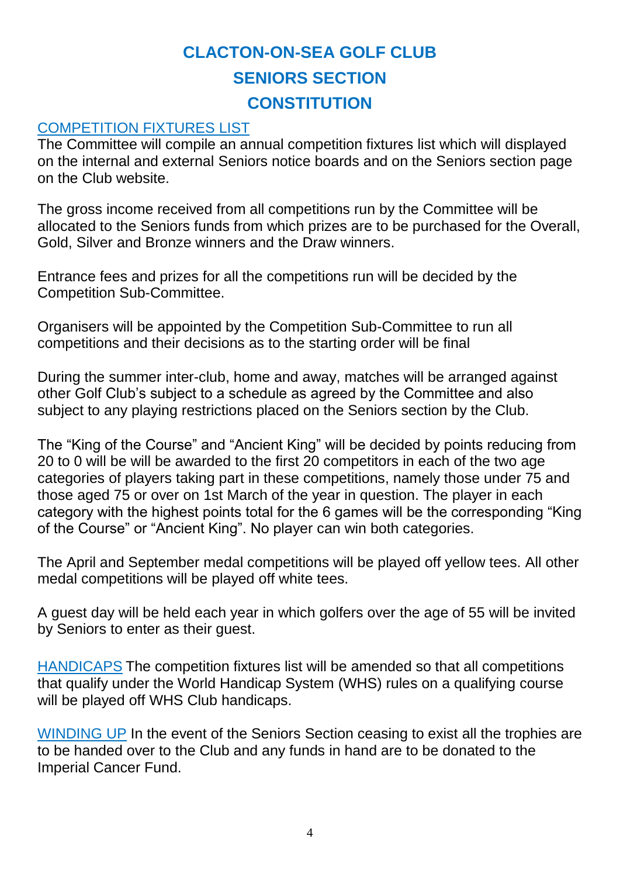### COMPETITION FIXTURES LIST

The Committee will compile an annual competition fixtures list which will displayed on the internal and external Seniors notice boards and on the Seniors section page on the Club website.

The gross income received from all competitions run by the Committee will be allocated to the Seniors funds from which prizes are to be purchased for the Overall, Gold, Silver and Bronze winners and the Draw winners.

Entrance fees and prizes for all the competitions run will be decided by the Competition Sub-Committee.

Organisers will be appointed by the Competition Sub-Committee to run all competitions and their decisions as to the starting order will be final

During the summer inter-club, home and away, matches will be arranged against other Golf Club's subject to a schedule as agreed by the Committee and also subject to any playing restrictions placed on the Seniors section by the Club.

The "King of the Course" and "Ancient King" will be decided by points reducing from 20 to 0 will be will be awarded to the first 20 competitors in each of the two age categories of players taking part in these competitions, namely those under 75 and those aged 75 or over on 1st March of the year in question. The player in each category with the highest points total for the 6 games will be the corresponding "King of the Course" or "Ancient King". No player can win both categories.

The April and September medal competitions will be played off yellow tees. All other medal competitions will be played off white tees.

A guest day will be held each year in which golfers over the age of 55 will be invited by Seniors to enter as their guest.

HANDICAPS The competition fixtures list will be amended so that all competitions that qualify under the World Handicap System (WHS) rules on a qualifying course will be played off WHS Club handicaps.

WINDING UP In the event of the Seniors Section ceasing to exist all the trophies are to be handed over to the Club and any funds in hand are to be donated to the Imperial Cancer Fund.